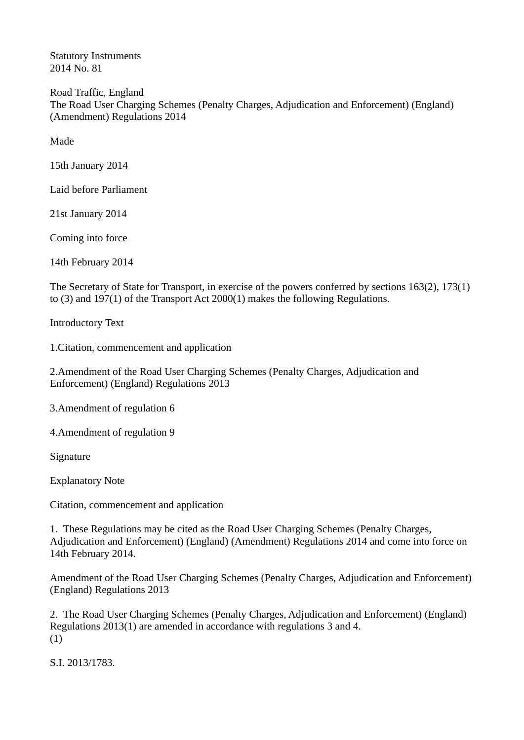Statutory Instruments 2014 No. 81

Road Traffic, England The Road User Charging Schemes (Penalty Charges, Adjudication and Enforcement) (England) (Amendment) Regulations 2014

Made

15th January 2014

Laid before Parliament

21st January 2014

Coming into force

14th February 2014

The Secretary of State for Transport, in exercise of the powers conferred by sections 163(2), 173(1) to (3) and 197(1) of the Transport Act 2000(1) makes the following Regulations.

Introductory Text

1.Citation, commencement and application

2.Amendment of the Road User Charging Schemes (Penalty Charges, Adjudication and Enforcement) (England) Regulations 2013

3.Amendment of regulation 6

4.Amendment of regulation 9

Signature

Explanatory Note

Citation, commencement and application

1. These Regulations may be cited as the Road User Charging Schemes (Penalty Charges, Adjudication and Enforcement) (England) (Amendment) Regulations 2014 and come into force on 14th February 2014.

Amendment of the Road User Charging Schemes (Penalty Charges, Adjudication and Enforcement) (England) Regulations 2013

2. The Road User Charging Schemes (Penalty Charges, Adjudication and Enforcement) (England) Regulations 2013(1) are amended in accordance with regulations 3 and 4. (1)

S.I. 2013/1783.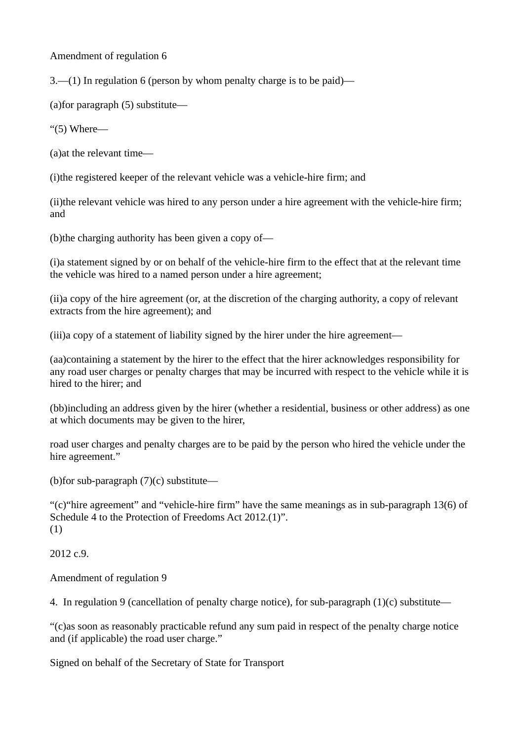Amendment of regulation 6

3.—(1) In regulation 6 (person by whom penalty charge is to be paid)—

(a)for paragraph (5) substitute—

"(5) Where—

(a)at the relevant time—

(i)the registered keeper of the relevant vehicle was a vehicle-hire firm; and

(ii)the relevant vehicle was hired to any person under a hire agreement with the vehicle-hire firm; and

(b)the charging authority has been given a copy of—

(i)a statement signed by or on behalf of the vehicle-hire firm to the effect that at the relevant time the vehicle was hired to a named person under a hire agreement;

(ii)a copy of the hire agreement (or, at the discretion of the charging authority, a copy of relevant extracts from the hire agreement); and

(iii)a copy of a statement of liability signed by the hirer under the hire agreement—

(aa)containing a statement by the hirer to the effect that the hirer acknowledges responsibility for any road user charges or penalty charges that may be incurred with respect to the vehicle while it is hired to the hirer; and

(bb)including an address given by the hirer (whether a residential, business or other address) as one at which documents may be given to the hirer,

road user charges and penalty charges are to be paid by the person who hired the vehicle under the hire agreement."

(b)for sub-paragraph  $(7)(c)$  substitute—

"(c)"hire agreement" and "vehicle-hire firm" have the same meanings as in sub-paragraph 13(6) of Schedule 4 to the Protection of Freedoms Act 2012.(1)". (1)

2012 c.9.

Amendment of regulation 9

4. In regulation 9 (cancellation of penalty charge notice), for sub-paragraph (1)(c) substitute—

"(c)as soon as reasonably practicable refund any sum paid in respect of the penalty charge notice and (if applicable) the road user charge."

Signed on behalf of the Secretary of State for Transport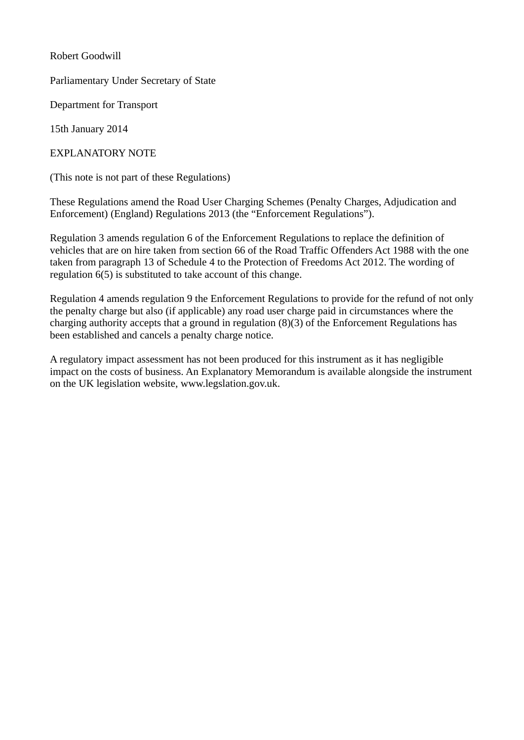Robert Goodwill

Parliamentary Under Secretary of State

Department for Transport

15th January 2014

EXPLANATORY NOTE

(This note is not part of these Regulations)

These Regulations amend the Road User Charging Schemes (Penalty Charges, Adjudication and Enforcement) (England) Regulations 2013 (the "Enforcement Regulations").

Regulation 3 amends regulation 6 of the Enforcement Regulations to replace the definition of vehicles that are on hire taken from section 66 of the Road Traffic Offenders Act 1988 with the one taken from paragraph 13 of Schedule 4 to the Protection of Freedoms Act 2012. The wording of regulation 6(5) is substituted to take account of this change.

Regulation 4 amends regulation 9 the Enforcement Regulations to provide for the refund of not only the penalty charge but also (if applicable) any road user charge paid in circumstances where the charging authority accepts that a ground in regulation (8)(3) of the Enforcement Regulations has been established and cancels a penalty charge notice.

A regulatory impact assessment has not been produced for this instrument as it has negligible impact on the costs of business. An Explanatory Memorandum is available alongside the instrument on the UK legislation website, www.legslation.gov.uk.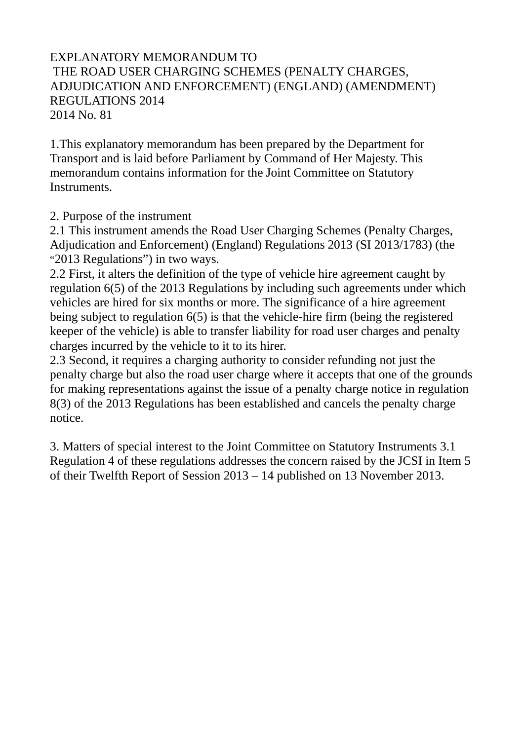## EXPLANATORY MEMORANDUM TO THE ROAD USER CHARGING SCHEMES (PENALTY CHARGES, ADJUDICATION AND ENFORCEMENT) (ENGLAND) (AMENDMENT) REGULATIONS 2014 2014 No. 81

1.This explanatory memorandum has been prepared by the Department for Transport and is laid before Parliament by Command of Her Majesty. This memorandum contains information for the Joint Committee on Statutory Instruments.

2. Purpose of the instrument

2.1 This instrument amends the Road User Charging Schemes (Penalty Charges, Adjudication and Enforcement) (England) Regulations 2013 (SI 2013/1783) (the "2013 Regulations") in two ways.

2.2 First, it alters the definition of the type of vehicle hire agreement caught by regulation 6(5) of the 2013 Regulations by including such agreements under which vehicles are hired for six months or more. The significance of a hire agreement being subject to regulation 6(5) is that the vehicle-hire firm (being the registered keeper of the vehicle) is able to transfer liability for road user charges and penalty charges incurred by the vehicle to it to its hirer.

2.3 Second, it requires a charging authority to consider refunding not just the penalty charge but also the road user charge where it accepts that one of the grounds for making representations against the issue of a penalty charge notice in regulation 8(3) of the 2013 Regulations has been established and cancels the penalty charge notice.

3. Matters of special interest to the Joint Committee on Statutory Instruments 3.1 Regulation 4 of these regulations addresses the concern raised by the JCSI in Item 5 of their Twelfth Report of Session 2013 – 14 published on 13 November 2013.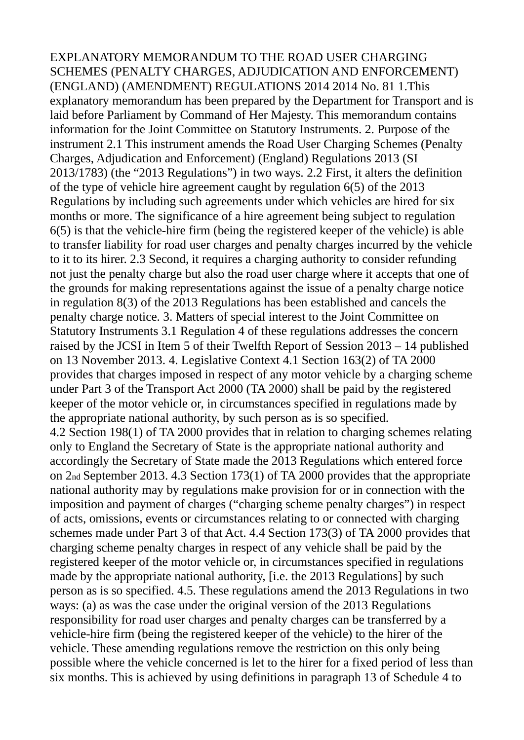EXPLANATORY MEMORANDUM TO THE ROAD USER CHARGING SCHEMES (PENALTY CHARGES, ADJUDICATION AND ENFORCEMENT) (ENGLAND) (AMENDMENT) REGULATIONS 2014 2014 No. 81 1.This explanatory memorandum has been prepared by the Department for Transport and is laid before Parliament by Command of Her Majesty. This memorandum contains information for the Joint Committee on Statutory Instruments. 2. Purpose of the instrument 2.1 This instrument amends the Road User Charging Schemes (Penalty Charges, Adjudication and Enforcement) (England) Regulations 2013 (SI 2013/1783) (the "2013 Regulations") in two ways. 2.2 First, it alters the definition of the type of vehicle hire agreement caught by regulation 6(5) of the 2013 Regulations by including such agreements under which vehicles are hired for six months or more. The significance of a hire agreement being subject to regulation 6(5) is that the vehicle-hire firm (being the registered keeper of the vehicle) is able to transfer liability for road user charges and penalty charges incurred by the vehicle to it to its hirer. 2.3 Second, it requires a charging authority to consider refunding not just the penalty charge but also the road user charge where it accepts that one of the grounds for making representations against the issue of a penalty charge notice in regulation 8(3) of the 2013 Regulations has been established and cancels the penalty charge notice. 3. Matters of special interest to the Joint Committee on Statutory Instruments 3.1 Regulation 4 of these regulations addresses the concern raised by the JCSI in Item 5 of their Twelfth Report of Session 2013 – 14 published on 13 November 2013. 4. Legislative Context 4.1 Section 163(2) of TA 2000 provides that charges imposed in respect of any motor vehicle by a charging scheme under Part 3 of the Transport Act 2000 (TA 2000) shall be paid by the registered keeper of the motor vehicle or, in circumstances specified in regulations made by the appropriate national authority, by such person as is so specified. 4.2 Section 198(1) of TA 2000 provides that in relation to charging schemes relating only to England the Secretary of State is the appropriate national authority and accordingly the Secretary of State made the 2013 Regulations which entered force on 2nd September 2013. 4.3 Section 173(1) of TA 2000 provides that the appropriate national authority may by regulations make provision for or in connection with the imposition and payment of charges ("charging scheme penalty charges") in respect of acts, omissions, events or circumstances relating to or connected with charging schemes made under Part 3 of that Act. 4.4 Section 173(3) of TA 2000 provides that charging scheme penalty charges in respect of any vehicle shall be paid by the registered keeper of the motor vehicle or, in circumstances specified in regulations made by the appropriate national authority, [i.e. the 2013 Regulations] by such person as is so specified. 4.5. These regulations amend the 2013 Regulations in two ways: (a) as was the case under the original version of the 2013 Regulations responsibility for road user charges and penalty charges can be transferred by a vehicle-hire firm (being the registered keeper of the vehicle) to the hirer of the vehicle. These amending regulations remove the restriction on this only being possible where the vehicle concerned is let to the hirer for a fixed period of less than six months. This is achieved by using definitions in paragraph 13 of Schedule 4 to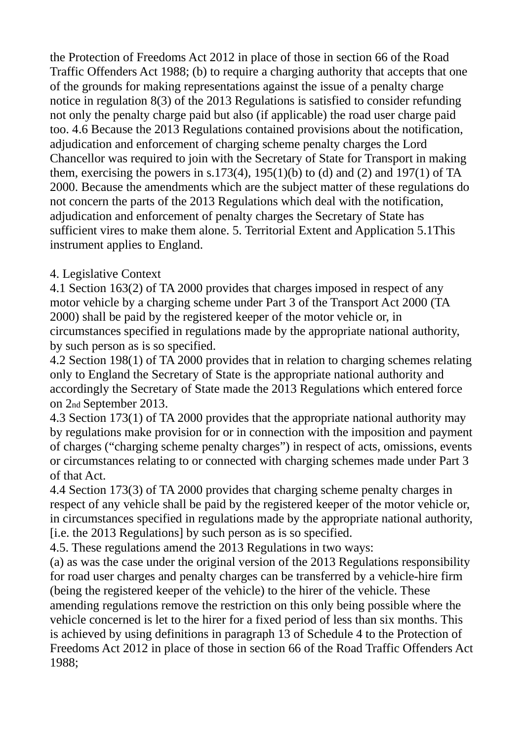the Protection of Freedoms Act 2012 in place of those in section 66 of the Road Traffic Offenders Act 1988; (b) to require a charging authority that accepts that one of the grounds for making representations against the issue of a penalty charge notice in regulation 8(3) of the 2013 Regulations is satisfied to consider refunding not only the penalty charge paid but also (if applicable) the road user charge paid too. 4.6 Because the 2013 Regulations contained provisions about the notification, adjudication and enforcement of charging scheme penalty charges the Lord Chancellor was required to join with the Secretary of State for Transport in making them, exercising the powers in s.173(4),  $195(1)(b)$  to (d) and (2) and 197(1) of TA 2000. Because the amendments which are the subject matter of these regulations do not concern the parts of the 2013 Regulations which deal with the notification, adjudication and enforcement of penalty charges the Secretary of State has sufficient vires to make them alone. 5. Territorial Extent and Application 5.1This instrument applies to England.

## 4. Legislative Context

4.1 Section 163(2) of TA 2000 provides that charges imposed in respect of any motor vehicle by a charging scheme under Part 3 of the Transport Act 2000 (TA 2000) shall be paid by the registered keeper of the motor vehicle or, in circumstances specified in regulations made by the appropriate national authority, by such person as is so specified.

4.2 Section 198(1) of TA 2000 provides that in relation to charging schemes relating only to England the Secretary of State is the appropriate national authority and accordingly the Secretary of State made the 2013 Regulations which entered force on 2nd September 2013.

4.3 Section 173(1) of TA 2000 provides that the appropriate national authority may by regulations make provision for or in connection with the imposition and payment of charges ("charging scheme penalty charges") in respect of acts, omissions, events or circumstances relating to or connected with charging schemes made under Part 3 of that Act.

4.4 Section 173(3) of TA 2000 provides that charging scheme penalty charges in respect of any vehicle shall be paid by the registered keeper of the motor vehicle or, in circumstances specified in regulations made by the appropriate national authority, [i.e. the 2013 Regulations] by such person as is so specified.

4.5. These regulations amend the 2013 Regulations in two ways:

(a) as was the case under the original version of the 2013 Regulations responsibility for road user charges and penalty charges can be transferred by a vehicle-hire firm (being the registered keeper of the vehicle) to the hirer of the vehicle. These amending regulations remove the restriction on this only being possible where the vehicle concerned is let to the hirer for a fixed period of less than six months. This is achieved by using definitions in paragraph 13 of Schedule 4 to the Protection of Freedoms Act 2012 in place of those in section 66 of the Road Traffic Offenders Act 1988;